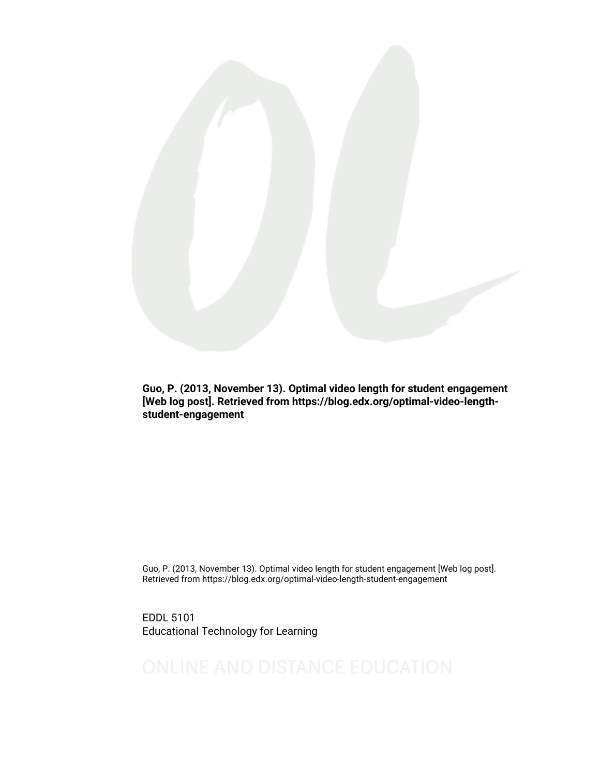

Guo, P. (2013, November 13). Optimal video length for student engagement [Web log post]. Retrieved from https://blog.edx.org/optimal-video-lengthstudent-engagement

Guo, P. (2013, November 13). Optimal video length for student engagement [Web log post]. Retrieved from https://blog.edx.org/optimal-video-length-student-engagement

EDDL 5101 Educational Technology for Learning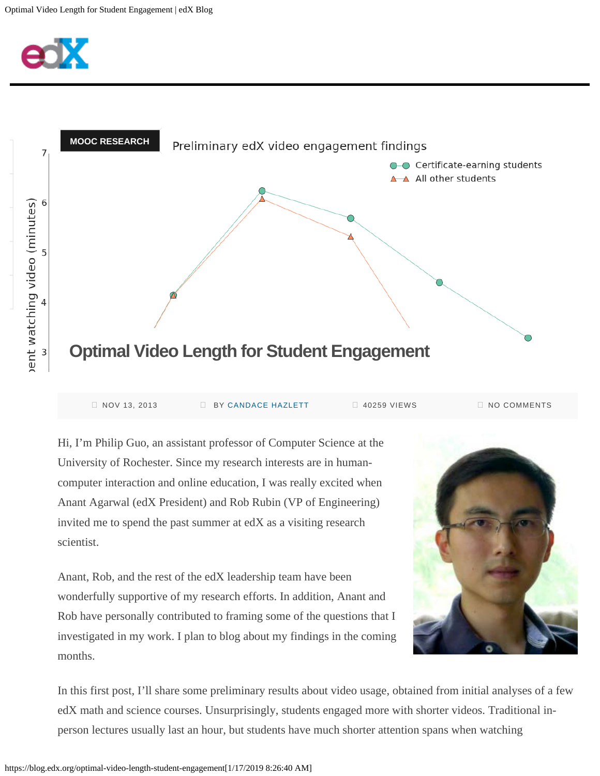



| NOV 13, 2013 | <b>BY CANDACE HAZLETT</b> | 40259 VIEWS | I NO COMMENTS |
|--------------|---------------------------|-------------|---------------|
|              |                           |             |               |

Hi, I'm Philip Guo, an assistant professor of Computer Science at the University of Rochester. Since my research interests are in humancomputer interaction and online education, I was really excited when Anant Agarwal (edX President) and Rob Rubin (VP of Engineering) invited me to spend the past summer at edX as a visiting research scientist.

Anant, Rob, and the rest of the edX leadership team have been wonderfully supportive of my research efforts. In addition, Anant and Rob have personally contributed to framing some of the questions that I investigated in my work. I plan to blog about my findings in the coming months.



In this first post, I'll share some preliminary results about video usage, obtained from initial analyses of a few edX math and science courses. Unsurprisingly, students engaged more with shorter videos. Traditional inperson lectures usually last an hour, but students have much shorter attention spans when watching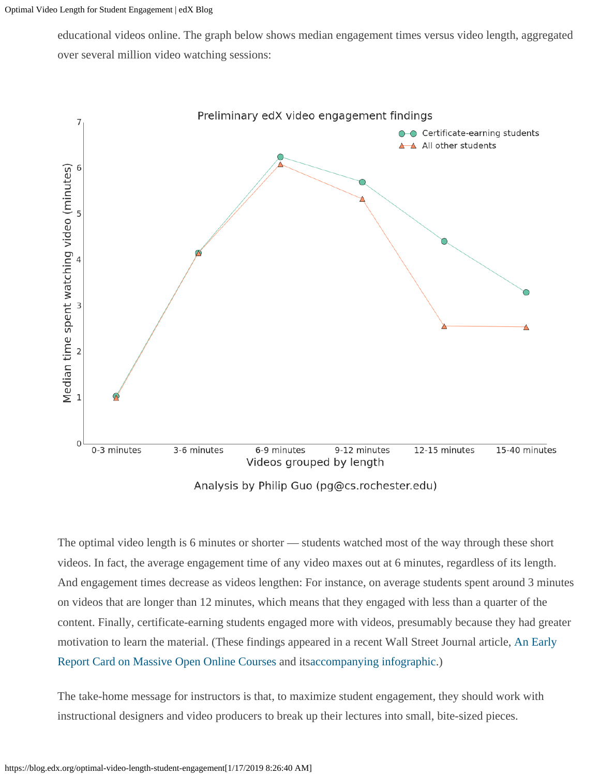educational videos online. The graph below shows median engagement times versus video length, aggregated over several million video watching sessions:



Analysis by Philip Guo (pg@cs.rochester.edu)

The optimal video length is 6 minutes or shorter — students watched most of the way through these short videos. In fact, the average engagement time of any video maxes out at 6 minutes, regardless of its length. And engagement times decrease as videos lengthen: For instance, on average students spent around 3 minutes on videos that are longer than 12 minutes, which means that they engaged with less than a quarter of the content. Finally, certificate-earning students engaged more with videos, presumably because they had greater motivation to learn the material. (These findings appeared in a recent Wall Street Journal article, [An Early](http://online.wsj.com/news/articles/SB10001424052702303759604579093400834738972) [Report Card on Massive Open Online Courses](http://online.wsj.com/news/articles/SB10001424052702303759604579093400834738972) and it[saccompanying infographic](http://online.wsj.com/news/interactive/MOOCchrtPRINT?ref=SB10001424052702303759604579093400834738972).)

The take-home message for instructors is that, to maximize student engagement, they should work with instructional designers and video producers to break up their lectures into small, bite-sized pieces.